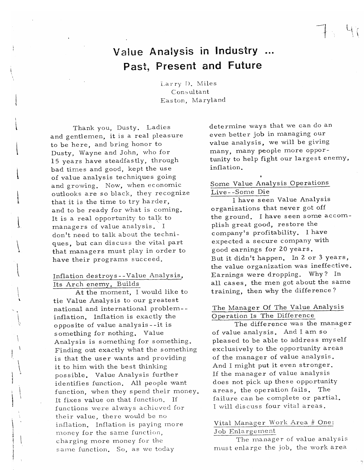# Value Analysis in Industry ... Past, Present and Future

Larry D. Miles Consultant Easton, Maryland

Thank you, Dusty. Ladies and gentlemen, it is a real pleasure to be here, and bring honor to Dusty, Wayne and John, who for 15 years have steadfastly, through bad times and good, kept the use of value analysis techniques going and growing. Now, when economic outlooks are so black, they recognize that it is the time to try harder, and to be ready for what is coming. It is a real opportunity to talk to managers of value analysis. I don't need to talk about the techniques, but can discuss the vital part that managers must play in order to have their programs succeed.

### Inflation destroys--Value Analysis, Its Arch enemy, Builds

At the moment, I would like to tie Value Analysis to our greatest national and international problem-inflation. Inflation is exactly the opposite of value analysis--it is something for nothing. Value Analysis is something for something. Finding out exactly what the something is that the user wants and providing it to him with the best thinking possible. Value Analysis further identifies function. All people want function, when they spend their money. It fixes value on that function. If functions were always achieved for their value, there would be no inflation. Inflation is paying more money for the same function, charging more money for the same function. So, as we today

determine ways that we can do an even better job in managing our value analysis, we will be giving many, many people more opportunity to help fight our largest enemy, inflation.

# Some Value Analysis Operations Live--Some Die

I have seen Value Analysis organizations that never got off the ground. I have seen some accomplish great good, restore the company's profitability. I have expected a secure company with good earnings for 20 years. But it didn't happen. In 2 or 3 years, the value organization was ineffective. Earnings were dropping. Why? In all cases, the men got about the same training, then why the difference?

# The Manager Of The Value Analysis Operation Is The Difference

The difference was the manager of value analysis. And I am so pleased to be able to address myself exclusively to the opportunity areas of the manager of value analysis. And I might put it even stronger. If the manager of value analysis does not pick up these opportunity areas, the operation fails. The failure can be complete or partial. I will discuss four vital areas.

#### Vital Manager Work Area # One: Job Enlargement

The manager of value analysis must enlarge the job, the work area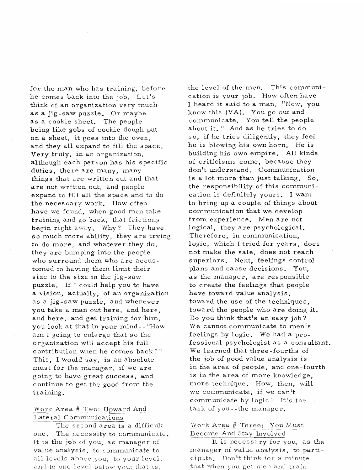for the man who has training, before he comes back into the job. Let's think of an organization very much as a jig-saw puzzle. Or maybe as a cookie sheet, The people being like gobs of cookie dough put on a sheet, it goes into the oven, and they all expand to fill the space. Very truly, in an organization, although each person has his specific duties, there are many, many things that are written out and that are not written out, and people expand to fill all the space and to do the necessary work. How often have we found, when good men take training and go back, that frictions begin right away. Why? They have so much more ability, they are trying to do more, and whatever they do, they are bumping into the people who surround them who are accus tomed to having them limit their size to the size in the jig-saw puzzle. If I could help you to have a vision, actually, of an organization as a jig-saw puzzle, and whenever you take a man out here, and here, and here, and get training for him, you look at that in your mind- - "How am I going to enlarge that so the organization will accept his full contribution when he comes back?" This, I would say, is an absolute must for the manager, if we are going to have great success, and continue to get the good from the training.

### Work Area # Two: Upward And Lateral Communications

The second area is a difficult one. The necessity to communicate. It is the job of you, as manager of value analysis, to communicate to all icvels above you, to your level, and to one level below you; that is,

the level of the men, This communication is your job. How often have I heard it said to a man, "Now, you know this (VA). You go out and communicate. You tell the people about it, " And as he tries to do *so,* if he tries diligently, they feel he is blowing his own horn. He is building his own empire. All kinds of criticisms come, because they don't understand. Communication is a lot more than just talking. So, the responsibility of this communication is definitely yours, I want to bring up a couple of things about communication **that** we develop from experience. Men are not logical, they are psychological. Therefore, in communication, logic, which I tried for years, does not make the sale, does not reach superiors. Next, feelings control plans and cause decisions. You, as the manager, are responsible to create the feelings that people have toward value analysis, toward the use of the techniques, toward the people who are doing it. Do you think that's an easy job? We cannot communicate to men's feelings by logic. We had *a* professional psychologist as a consultant. We learned that three-fourths of the job of good value analysis is in the area of people, and one-fourth is in the area of more knowledge, more technique. How, then, will we communicate, if we can't communicate by logic ? It's the task of you- -the manager,

# Work Area # Three: You Must Become And Stav Involved

It is necessary for you, as the manager of value analysis, to participate. Don't think for a minute that when you get men and train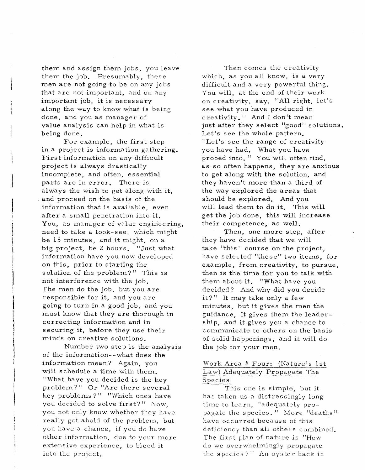them and as sign them jobs, you leave them the job. Presumably, these men are not going to be on any jobs that are not important, and on any important job, it is necessary along the way to know what is being done, and you as manager of value analysis can help in what is being done,

For example, the first step in a project is information gathering, First information on any difficult project is always drastically incomplete, and often, essential parts **are** in error, There is always the wish to get along with it, and proceed on the basis of the information that is available, even after a small penetration into it, You, as manager of value engineering, need to take a look-see, which might be 15 minutes, and it might, on a big project, be 2 hours. "Just what information have you now developed on this, prior to starting the solution of the problem? " This is not interference with the job. The men do the job, but you are responsible for it, and you are going to turn in a good job, and you must know that they are thorough in correcting information and in securing it, before they use their minds on creative solutions.

Number two step is the analysis of **the** information--what does the information mean ? Again, you will schedule a time with them. "What have you decided is the key problem? " Or "Are there several key problems ? " "Which ones have you decided to solve first?" Now, you not only know whether they have really got ahold of the problem, but you have a chance, if you do have other information, due to your more extensive experience, to bleed it into the project.

Then comes the creativity which, as you all know, is a very difficult and a very powerful thing. You will, at the end of their work on creativity, say, "All right, let's see what you have produced in creativity. I' And I don't mean just after they select "good" solutions. Let's see the whole pattern, "Let's see the range of creativity you have had, What you have probed into." You will often find, as so often happens, they are anxious to get along with **the** solution, and they haven't more **than** a third of the way explored **the** areas that should be explored, And you will lead them to do it, This will get the job done, this will increase their competence, as well.

Then, one more step, after they have decided that we will take "this" course on the project, have selected "these" two items, for example, from creativity, to pursue, then is the time **for** you to talk with them about it. "What have you decided? And why did you decide it?" It may take only a few minutes, but it gives the men the guidance, it gives them the leader ship, and it gives you a chance to communicate to others on the basis of solid happenings, and it will do the job for your men.

# Work Area # Four: (Nature's 1st Law) Adequately Propagate The Species

This one is simple, but it has taken us *a* distressingly long time to learn, "adequately pro- pagate the species. " More "deaths " have occurred because of this deficiency than all others combined, The first plan of nature is "How do we overwhelmingly propagate the species?" An oyster back in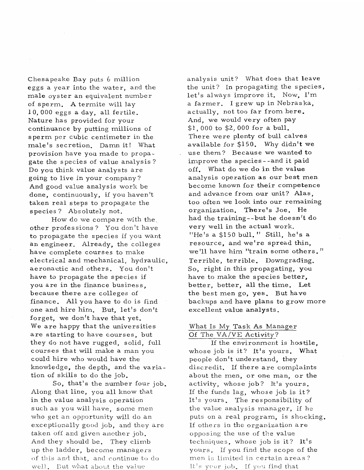Chesapeake Bay puts 6 million eggs a year into the water, and the male oyster an equivalent number of sperm. A termite will lay 10, 000 eggs a day, all fertile. Nature has provided for your continuance by putting millions of sperm per cubic centimeter in the male's secretion, Damn it! What provision have you made to propagate the species of value analysis? Do you think value analysts are going to live in your company ? And good value analysis work be done, continuously, if you haven't taken real steps to propagate the species ? Absolutely not.

How do we compare with the. other profes sions ? You don't have to propagate the species if you want an engineer. Already, the colleges have complete courses to make electrical and mechanical, hydraulic, aeronautic and others. You don't have to propagate the species if you are in the finance business, because there are colleges of finance. All you have to do is find one and hire him. But, let's don't forget, we don't have that yet. We are happy that the universities are starting to have courses, but they do not have rugged, solid, full courses that will make a man you could hire who would have the knowledge, the depth, and the variation of skills to do the job.

So, that's the number four job. Along that line, you all know that in the value analysis operation such as you will have, some men who get an opportunity will do an exceptionally good job, and they are taken off and given another job. And they should be. They climb up the ladder, become managers of this and that, and continue to do well. But what about the value

analysis unit? What does that leave the unit? In propagating the species, let's always improve it. Now, I'm a farmer. I grew up in Nebraska, actually, not too far from here. And, we would very often pay \$1, 000 to \$2, 000 for a bull. There were plenty of bull calves available for \$150. Why didn't we use them? Because we wanted to improve the species - -and it **paid**  off. What do we do in the value analysis operation as our best men become known for their competence and advance from our unit? **Alas,**  too often we look into our remaining organization. There's Joe. He had the training--but he doesn't do very well in the actual work. "He's a \$150 bull." Still, he's a resource, and we're spread thin, we'll have him "train some others. " Terrible, terrible. Downgrading. So, right in this propagating, you have to make the species better, better, better, **all** the time. Let the best men go, **yes.** But have backups and have plans to grow more excellent value analysts.

### What Is My Task As Manager Of The VA/VE Activity?

If the environment is hostile, whose job is it? It's yours. What people don't understand, they discredit. If there are complaints about the men, or one man, or the activity, whose job? It's yours. If the funds lag, whose job is it? It's yours. The responsibility of the value analysis manager, if he puts on a real program, is shocking. If others in the organization **are**  opposing the use of the value techniques, whose job is it? It's yours. If you find the scope of the men is limited in certain areas? It's your job. If you find that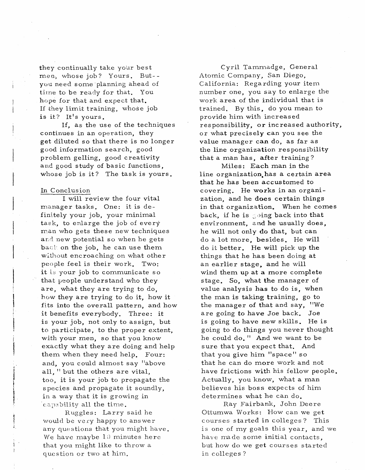they continually take your best whose job? Yours. But- yuu need some planning ahead of time to be ready for that. You hope for that and expect that. If they limit training, whose job is it? It's yours.

If, as the use of the techniques continues in an operation, they get diluted so that there is no longer good information search, good problem gelling, good creativity **and** good study of basic functions, whose job is it? The task is yours.

#### In Conclusion

I will review the four vital manager tasks. One: it is definitely your job, your minimal **task,** to enlarge the job of every man who gets these new techniques and new potential so when he gets **bacl-** on the job, he can use them without encroaching on what other people feel is their work. Two: it is your job to communicate so that people understand who they are, what they are trying to do, how they are trying to do it, how it fits into the overall pattern, and how it benefits everybody. Three: it is your job, not only to assign, but to participate, to the proper extent, with your men, so that you know exactly what they are doing and help them when they need help. Four: and, you could almost say "above all, " but the others are vital, too, it is your job to propagate the species and propagate it soundly, in a way that it is growing in capability all the time.

Ruggles: Larry said he would be very happy to answer any questions that you might have. We have maybe  $10$  minutes here that you might like to throw a question or two at him.

Cyril Tammadge, General Atomic Company, San Diego, California: Regarding your item number one, you say to enlarge the work area of the individual that is trained. By this, do you mean to provide him with increased responsibility, or increased authority, or what precisely can you see the value manager can do, **as** far as the line organization responsibility that a man has, after training ?

Miles : **Each man** in the line organization,has a certain **area**  that he has **been** accustomed to covering. He **works** in an organization, and he **does** certain things in that organization. When he comes back, if he is  $\mathbb S$  ing back into that environment, and he usually does, he will not only do **that,** but can do a lot more, besides, He will do it better. He will pick up the things that he has been doing at an earlier stage, **and** he will wind them up at a more complete stage. So, what **the** manager of value analysis **has** to do is, when the man is **taking** training, go to the manager of **that** and say, "We are going to have Joe back. Joe is going **to** have **new** skills. He is going to do things you never thought he could do." And we want to be sure that you expect that. And that you give him "space" so that he can do more work and not have frictions with his fellow people. Actually, you know, what a man believes his boss expects of him determines what he can do,

Ray Fairbank, John Deere Ottumwa Works: How can we get courses started in colleges? This is one of my goals this year, and we have nude some initial contacts, but how do we get courses started in colleges ?